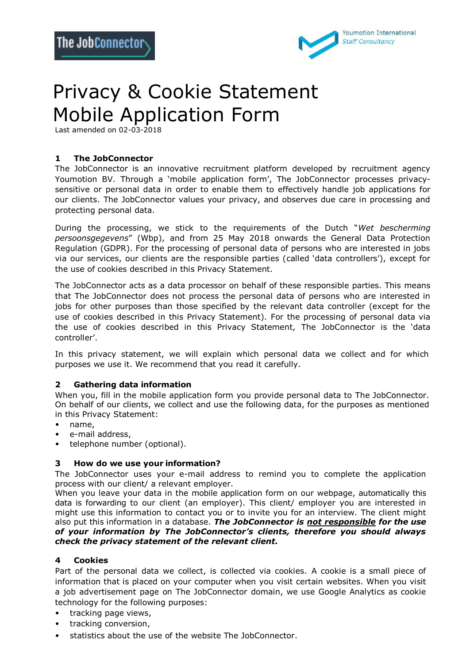

# Privacy & Cookie Statement Mobile Application Form

Last amended on 02-03-2018

# **1 The JobConnector**

The JobConnector is an innovative recruitment platform developed by recruitment agency Youmotion BV. Through a 'mobile application form', The JobConnector processes privacysensitive or personal data in order to enable them to effectively handle job applications for our clients. The JobConnector values your privacy, and observes due care in processing and protecting personal data.

During the processing, we stick to the requirements of the Dutch "*Wet bescherming persoonsgegevens*" (Wbp), and from 25 May 2018 onwards the General Data Protection Regulation (GDPR). For the processing of personal data of persons who are interested in jobs via our services, our clients are the responsible parties (called 'data controllers'), except for the use of cookies described in this Privacy Statement.

The JobConnector acts as a data processor on behalf of these responsible parties. This means that The JobConnector does not process the personal data of persons who are interested in jobs for other purposes than those specified by the relevant data controller (except for the use of cookies described in this Privacy Statement). For the processing of personal data via the use of cookies described in this Privacy Statement, The JobConnector is the 'data controller'.

In this privacy statement, we will explain which personal data we collect and for which purposes we use it. We recommend that you read it carefully.

# **2 Gathering data information**

When you, fill in the mobile application form you provide personal data to The JobConnector. On behalf of our clients, we collect and use the following data, for the purposes as mentioned in this Privacy Statement:

- name,
- e-mail address,
- telephone number (optional).

# **3 How do we use your information?**

The JobConnector uses your e-mail address to remind you to complete the application process with our client/ a relevant employer.

When you leave your data in the mobile application form on our webpage, automatically this data is forwarding to our client (an employer). This client/ employer you are interested in might use this information to contact you or to invite you for an interview. The client might also put this information in a database. *The JobConnector is not responsible for the use of your information by The JobConnector's clients, therefore you should always check the privacy statement of the relevant client.*

# **4 Cookies**

Part of the personal data we collect, is collected via cookies. A cookie is a small piece of information that is placed on your computer when you visit certain websites. When you visit a job advertisement page on The JobConnector domain, we use Google Analytics as cookie technology for the following purposes:

- tracking page views,
- tracking conversion,
- statistics about the use of the website The JobConnector.